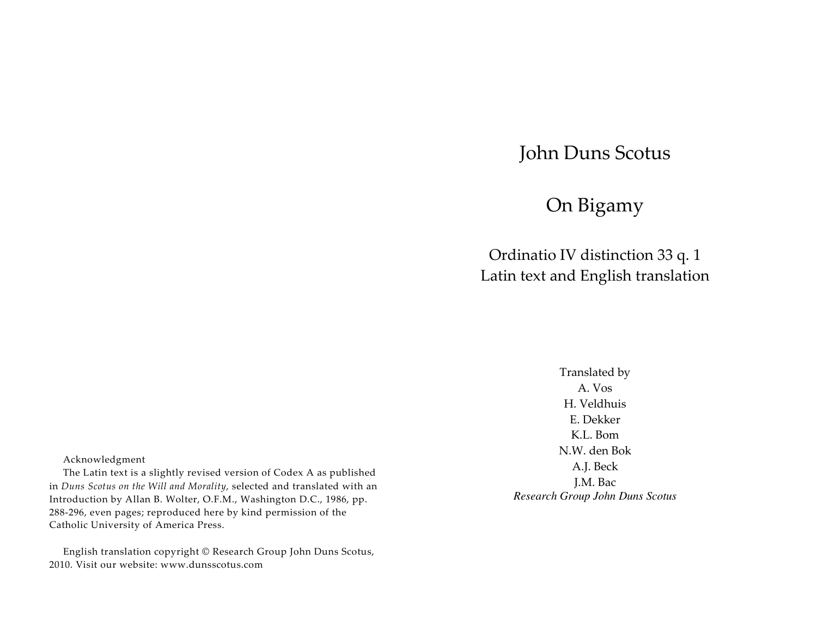# John Duns Scotus

# On Bigamy

Ordinatio IV distinction 33 q. 1 Latin text and English translation

> Translated by A. Vos H. Veldhuis E. Dekker K.L. Bom N.W. den Bok A.J. Beck J.M. Bac *Research Group John Duns Scotus*

Acknowledgment

The Latin text is a slightly revised version of Codex A as published in *Duns Scotus on the Will and Morality*, selected and translated with an Introduction by Allan B. Wolter, O.F.M., Washington D.C., 1986, pp. 288-296, even pages; reproduced here by kind permission of the Catholic University of America Press.

English translation copyright © Research Group John Duns Scotus, 2010. Visit our website: www.dunsscotus.com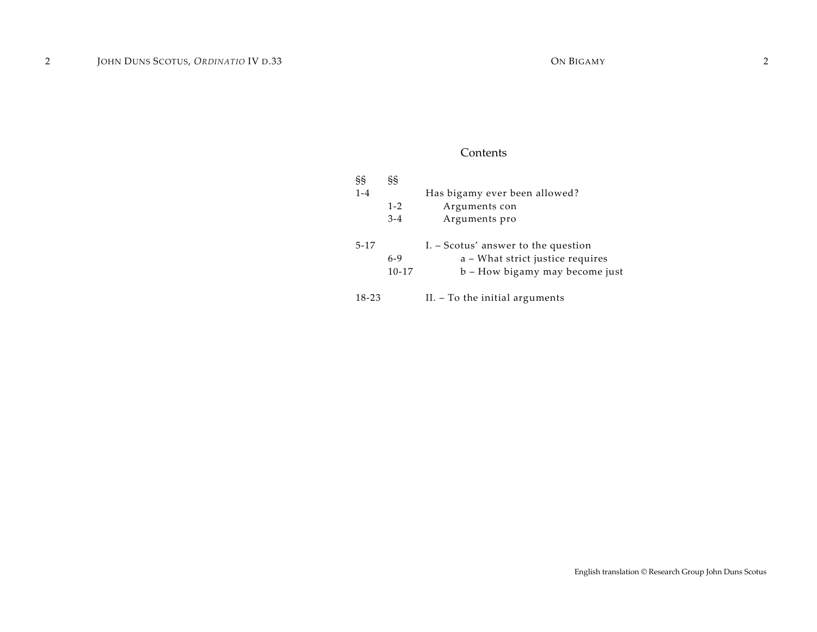# Contents

| §§       | ŞŞ        |                                     |
|----------|-----------|-------------------------------------|
| $1 - 4$  |           | Has bigamy ever been allowed?       |
|          | $1 - 2$   | Arguments con                       |
|          | $3 - 4$   | Arguments pro                       |
| $5 - 17$ |           | I. – Scotus' answer to the question |
|          | $6-9$     | a - What strict justice requires    |
|          | $10 - 17$ | b - How bigamy may become just      |
| 18-23    |           | $II. - To the initial arguments$    |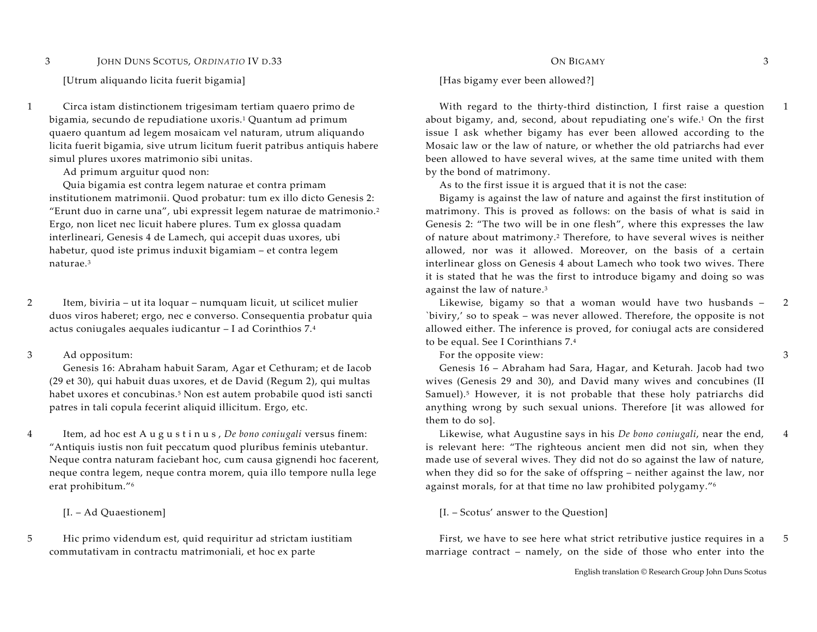[Utrum aliquando licita fuerit bigamia] [Has bigamy ever been allowed?]

1 Circa istam distinctionem trigesimam tertiam quaero primo de bigamia, secundo de repudiatione uxoris.1 Quantum ad primum quaero quantum ad legem mosaicam vel naturam, utrum aliquando licita fuerit bigamia, sive utrum licitum fuerit patribus antiquis habere simul plures uxores matrimonio sibi unitas.

Ad primum arguitur quod non:

Quia bigamia est contra legem naturae et contra primam institutionem matrimonii. Quod probatur: tum ex illo dicto Genesis 2: "Erunt duo in carne una", ubi expressit legem naturae de matrimonio.<sup>2</sup> Ergo, non licet nec licuit habere plures. Tum ex glossa quadam interlineari, Genesis 4 de Lamech, qui accepit duas uxores, ubi habetur, quod iste primus induxit bigamiam – et contra legem naturae.3

2 Item, biviria – ut ita loquar – numquam licuit, ut scilicet mulier duos viros haberet; ergo, nec e converso. Consequentia probatur quia actus coniugales aequales iudicantur – I ad Corinthios 7.<sup>4</sup>

3 Ad oppositum:

Genesis 16: Abraham habuit Saram, Agar et Cethuram; et de Iacob (29 et 30), qui habuit duas uxores, et de David (Regum 2), qui multas habet uxores et concubinas.<sup>5</sup> Non est autem probabile quod isti sancti patres in tali copula fecerint aliquid illicitum. Ergo, etc.

4 Item, ad hoc est A <sup>u</sup> <sup>g</sup> <sup>u</sup> <sup>s</sup> <sup>t</sup> <sup>i</sup> <sup>n</sup> <sup>u</sup> <sup>s</sup> , *De bono coniugali* versus finem: "Antiquis iustis non fuit peccatum quod pluribus feminis utebantur. Neque contra naturam faciebant hoc, cum causa gignendi hoc facerent, neque contra legem, neque contra morem, quia illo tempore nulla lege erat prohibitum."<sup>6</sup>

5 Hic primo videndum est, quid requiritur ad strictam iustitiam commutativam in contractu matrimoniali, et hoc ex parte

# $O \text{IV D.33}$   $O \text{N }\text{BIGAMY}$   $3$

 With regard to the thirty-third distinction, I first raise a question about bigamy, and, second, about repudiating one's wife.1 On the first issue I ask whether bigamy has ever been allowed according to the Mosaic law or the law of nature, or whether the old patriarchs had ever been allowed to have several wives, at the same time united with them by the bond of matrimony.

As to the first issue it is argued that it is not the case:

Bigamy is against the law of nature and against the first institution of matrimony. This is proved as follows: on the basis of what is said in Genesis 2: "The two will be in one flesh", where this expresses the law of nature about matrimony.2 Therefore, to have several wives is neither allowed, nor was it allowed. Moreover, on the basis of a certain interlinear gloss on Genesis 4 about Lamech who took two wives. There it is stated that he was the first to introduce bigamy and doing so was against the law of nature.<sup>3</sup>

 Likewise, bigamy so that a woman would have two husbands – `biviry,' so to speak – was never allowed. Therefore, the opposite is not allowed either. The inference is proved, for coniugal acts are considered to be equal. See I Corinthians 7.<sup>4</sup>

For the opposite view:

Genesis 16 – Abraham had Sara, Hagar, and Keturah. Jacob had two wives (Genesis 29 and 30), and David many wives and concubines (II Samuel).5 However, it is not probable that these holy patriarchs did anything wrong by such sexual unions. Therefore [it was allowed for them to do so].

 Likewise, what Augustine says in his *De bono coniugali*, near the end, is relevant here: "The righteous ancient men did not sin, when they made use of several wives. They did not do so against the law of nature, when they did so for the sake of offspring – neither against the law, nor against morals, for at that time no law prohibited polygamy."<sup>6</sup>

[I. – Ad Quaestionem] [I. – Scotus' answer to the Question]

 First, we have to see here what strict retributive justice requires in a marriage contract – namely, on the side of those who enter into the 5

1

3

4

2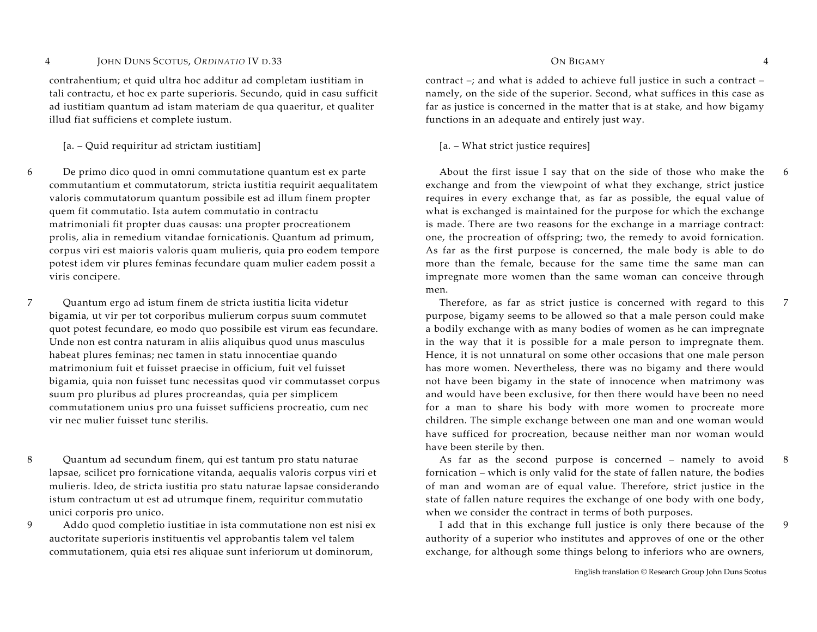contrahentium; et quid ultra hoc additur ad completam iustitiam in tali contractu, et hoc ex parte superioris. Secundo, quid in casu sufficit ad iustitiam quantum ad istam materiam de qua quaeritur, et qualiter illud fiat sufficiens et complete iustum.

[a. – Quid requiritur ad strictam iustitiam] [a. – What strict justice requires]

6 De primo dico quod in omni commutatione quantum est ex parte commutantium et commutatorum, stricta iustitia requirit aequalitatem valoris commutatorum quantum possibile est ad illum finem propter quem fit commutatio. Ista autem commutatio in contractu matrimoniali fit propter duas causas: una propter procreationem prolis, alia in remedium vitandae fornicationis. Quantum ad primum, corpus viri est maioris valoris quam mulieris, quia pro eodem tempore potest idem vir plures feminas fecundare quam mulier eadem possit a viris concipere.

7 Quantum ergo ad istum finem de stricta iustitia licita videtur bigamia, ut vir per tot corporibus mulierum corpus suum commutet quot potest fecundare, eo modo quo possibile est virum eas fecundare. Unde non est contra naturam in aliis aliquibus quod unus masculus habeat plures feminas; nec tamen in statu innocentiae quando matrimonium fuit et fuisset praecise in officium, fuit vel fuisset bigamia, quia non fuisset tunc necessitas quod vir commutasset corpus suum pro pluribus ad plures procreandas, quia per simplicem commutationem unius pro una fuisset sufficiens procreatio, cum nec vir nec mulier fuisset tunc sterilis.

8 Quantum ad secundum finem, qui est tantum pro statu naturae lapsae, scilicet pro fornicatione vitanda, aequalis valoris corpus viri et mulieris. Ideo, de stricta iustitia pro statu naturae lapsae considerando istum contractum ut est ad utrumque finem, requiritur commutatio unici corporis pro unico.

9 Addo quod completio iustitiae in ista commutatione non est nisi ex auctoritate superioris instituentis vel approbantis talem vel talem commutationem, quia etsi res aliquae sunt inferiorum ut dominorum,

# $O$  IV D.33  $O$  ON BIGAMY  $4$

contract –; and what is added to achieve full justice in such a contract – namely, on the side of the superior. Second, what suffices in this case as far as justice is concerned in the matter that is at stake, and how bigamy functions in an adequate and entirely just way.

 About the first issue I say that on the side of those who make the exchange and from the viewpoint of what they exchange, strict justice requires in every exchange that, as far as possible, the equal value of what is exchanged is maintained for the purpose for which the exchange is made. There are two reasons for the exchange in a marriage contract: one, the procreation of offspring; two, the remedy to avoid fornication. As far as the first purpose is concerned, the male body is able to do more than the female, because for the same time the same man can impregnate more women than the same woman can conceive through men.

 Therefore, as far as strict justice is concerned with regard to this purpose, bigamy seems to be allowed so that a male person could make a bodily exchange with as many bodies of women as he can impregnate in the way that it is possible for a male person to impregnate them. Hence, it is not unnatural on some other occasions that one male person has more women. Nevertheless, there was no bigamy and there would not have been bigamy in the state of innocence when matrimony was and would have been exclusive, for then there would have been no need for a man to share his body with more women to procreate more children. The simple exchange between one man and one woman would have sufficed for procreation, because neither man nor woman would have been sterile by then.

 As far as the second purpose is concerned – namely to avoid fornication – which is only valid for the state of fallen nature, the bodies of man and woman are of equal value. Therefore, strict justice in the state of fallen nature requires the exchange of one body with one body, when we consider the contract in terms of both purposes.

 I add that in this exchange full justice is only there because of the authority of a superior who institutes and approves of one or the other exchange, for although some things belong to inferiors who are owners,

6

7

8

9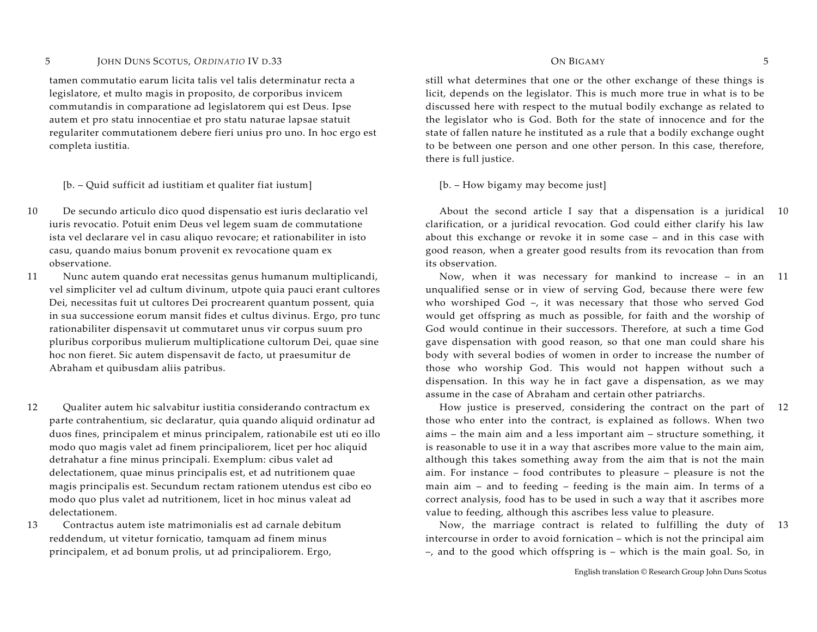tamen commutatio earum licita talis vel talis determinatur recta a legislatore, et multo magis in proposito, de corporibus invicem commutandis in comparatione ad legislatorem qui est Deus. Ipse autem et pro statu innocentiae et pro statu naturae lapsae statuit regulariter commutationem debere fieri unius pro uno. In hoc ergo est completa iustitia.

[b. – Quid sufficit ad iustitiam et qualiter fiat iustum] [b. – How bigamy may become just]

- 10 De secundo articulo dico quod dispensatio est iuris declaratio vel iuris revocatio. Potuit enim Deus vel legem suam de commutatione ista vel declarare vel in casu aliquo revocare; et rationabiliter in isto casu, quando maius bonum provenit ex revocatione quam ex observatione.
- 11 Nunc autem quando erat necessitas genus humanum multiplicandi, vel simpliciter vel ad cultum divinum, utpote quia pauci erant cultores Dei, necessitas fuit ut cultores Dei procrearent quantum possent, quia in sua successione eorum mansit fides et cultus divinus. Ergo, pro tunc rationabiliter dispensavit ut commutaret unus vir corpus suum pro pluribus corporibus mulierum multiplicatione cultorum Dei, quae sine hoc non fieret. Sic autem dispensavit de facto, ut praesumitur de Abraham et quibusdam aliis patribus.
- 12 Qualiter autem hic salvabitur iustitia considerando contractum ex parte contrahentium, sic declaratur, quia quando aliquid ordinatur ad duos fines, principalem et minus principalem, rationabile est uti eo illo modo quo magis valet ad finem principaliorem, licet per hoc aliquid detrahatur a fine minus principali. Exemplum: cibus valet ad delectationem, quae minus principalis est, et ad nutritionem quae magis principalis est. Secundum rectam rationem utendus est cibo eo modo quo plus valet ad nutritionem, licet in hoc minus valeat ad delectationem.
- 13 Contractus autem iste matrimonialis est ad carnale debitum reddendum, ut vitetur fornicatio, tamquam ad finem minus principalem, et ad bonum prolis, ut ad principaliorem. Ergo,

# $O$  IV D.33  $O$  ON BIGAMY 5

still what determines that one or the other exchange of these things is licit, depends on the legislator. This is much more true in what is to be discussed here with respect to the mutual bodily exchange as related to the legislator who is God. Both for the state of innocence and for the state of fallen nature he instituted as a rule that a bodily exchange ought to be between one person and one other person. In this case, therefore, there is full justice.

 About the second article I say that a dispensation is a juridical 10clarification, or a juridical revocation. God could either clarify his law about this exchange or revoke it in some case – and in this case with good reason, when a greater good results from its revocation than from its observation.

 Now, when it was necessary for mankind to increase – in an unqualified sense or in view of serving God, because there were few who worshiped God –, it was necessary that those who served God would get offspring as much as possible, for faith and the worship of God would continue in their successors. Therefore, at such a time God gave dispensation with good reason, so that one man could share his body with several bodies of women in order to increase the number of those who worship God. This would not happen without such a dispensation. In this way he in fact gave a dispensation, as we may assume in the case of Abraham and certain other patriarchs. 11

 How justice is preserved, considering the contract on the part of 12those who enter into the contract, is explained as follows. When two aims – the main aim and a less important aim – structure something, it is reasonable to use it in a way that ascribes more value to the main aim, although this takes something away from the aim that is not the main aim. For instance – food contributes to pleasure – pleasure is not the main aim – and to feeding – feeding is the main aim. In terms of a correct analysis, food has to be used in such a way that it ascribes more value to feeding, although this ascribes less value to pleasure.

 Now, the marriage contract is related to fulfilling the duty of 13intercourse in order to avoid fornication – which is not the principal aim –, and to the good which offspring is – which is the main goal. So, in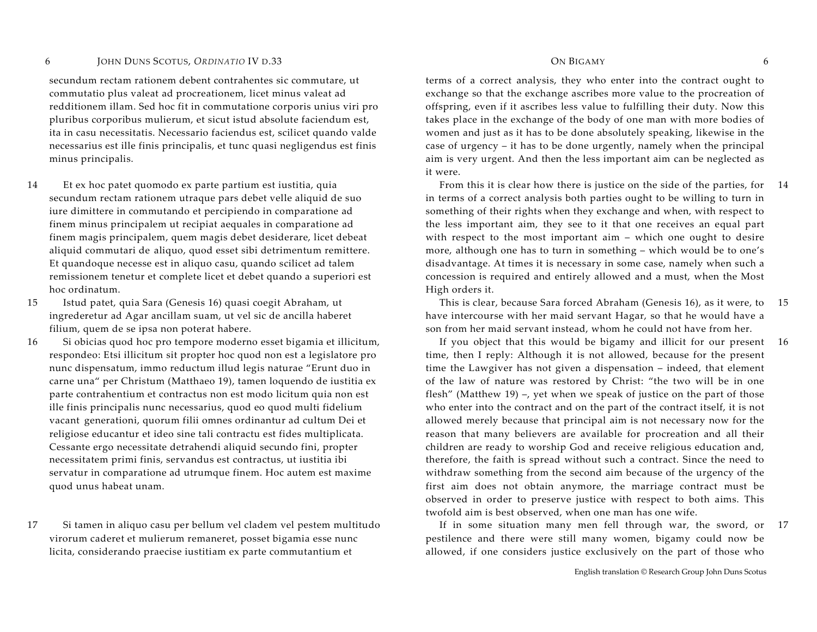secundum rectam rationem debent contrahentes sic commutare, ut commutatio plus valeat ad procreationem, licet minus valeat ad redditionem illam. Sed hoc fit in commutatione corporis unius viri pro pluribus corporibus mulierum, et sicut istud absolute faciendum est, ita in casu necessitatis. Necessario faciendus est, scilicet quando valde necessarius est ille finis principalis, et tunc quasi negligendus est finis minus principalis.

14 Et ex hoc patet quomodo ex parte partium est iustitia, quia secundum rectam rationem utraque pars debet velle aliquid de suo iure dimittere in commutando et percipiendo in comparatione ad finem minus principalem ut recipiat aequales in comparatione ad finem magis principalem, quem magis debet desiderare, licet debeat aliquid commutari de aliquo, quod esset sibi detrimentum remittere. Et quandoque necesse est in aliquo casu, quando scilicet ad talem remissionem tenetur et complete licet et debet quando a superiori est hoc ordinatum.

15 Istud patet, quia Sara (Genesis 16) quasi coegit Abraham, ut ingrederetur ad Agar ancillam suam, ut vel sic de ancilla haberet filium, quem de se ipsa non poterat habere.

16 Si obicias quod hoc pro tempore moderno esset bigamia et illicitum, respondeo: Etsi illicitum sit propter hoc quod non est a legislatore pro nunc dispensatum, immo reductum illud legis naturae "Erunt duo in carne una" per Christum (Matthaeo 19), tamen loquendo de iustitia ex parte contrahentium et contractus non est modo licitum quia non est ille finis principalis nunc necessarius, quod eo quod multi fidelium vacant generationi, quorum filii omnes ordinantur ad cultum Dei et religiose educantur et ideo sine tali contractu est fides multiplicata. Cessante ergo necessitate detrahendi aliquid secundo fini, propter necessitatem primi finis, servandus est contractus, ut iustitia ibi servatur in comparatione ad utrumque finem. Hoc autem est maxime quod unus habeat unam.

17 Si tamen in aliquo casu per bellum vel cladem vel pestem multitudo virorum caderet et mulierum remaneret, posset bigamia esse nunc licita, considerando praecise iustitiam ex parte commutantium et

# $O$  IV D.33  $O$  ON BIGAMY 6

terms of a correct analysis, they who enter into the contract ought to exchange so that the exchange ascribes more value to the procreation of offspring, even if it ascribes less value to fulfilling their duty. Now this takes place in the exchange of the body of one man with more bodies of women and just as it has to be done absolutely speaking, likewise in the case of urgency – it has to be done urgently, namely when the principal aim is very urgent. And then the less important aim can be neglected as it were.

 From this it is clear how there is justice on the side of the parties, for in terms of a correct analysis both parties ought to be willing to turn in something of their rights when they exchange and when, with respect to the less important aim, they see to it that one receives an equal part with respect to the most important aim – which one ought to desire more, although one has to turn in something – which would be to one's disadvantage. At times it is necessary in some case, namely when such a concession is required and entirely allowed and a must, when the Most High orders it. 14

 This is clear, because Sara forced Abraham (Genesis 16), as it were, to have intercourse with her maid servant Hagar, so that he would have a son from her maid servant instead, whom he could not have from her. 15

 If you object that this would be bigamy and illicit for our present 16time, then I reply: Although it is not allowed, because for the present time the Lawgiver has not given a dispensation – indeed, that element of the law of nature was restored by Christ: "the two will be in one flesh" (Matthew 19) –, yet when we speak of justice on the part of those who enter into the contract and on the part of the contract itself, it is not allowed merely because that principal aim is not necessary now for the reason that many believers are available for procreation and all their children are ready to worship God and receive religious education and, therefore, the faith is spread without such a contract. Since the need to withdraw something from the second aim because of the urgency of the first aim does not obtain anymore, the marriage contract must be observed in order to preserve justice with respect to both aims. This twofold aim is best observed, when one man has one wife.

 If in some situation many men fell through war, the sword, or pestilence and there were still many women, bigamy could now be allowed, if one considers justice exclusively on the part of those who 17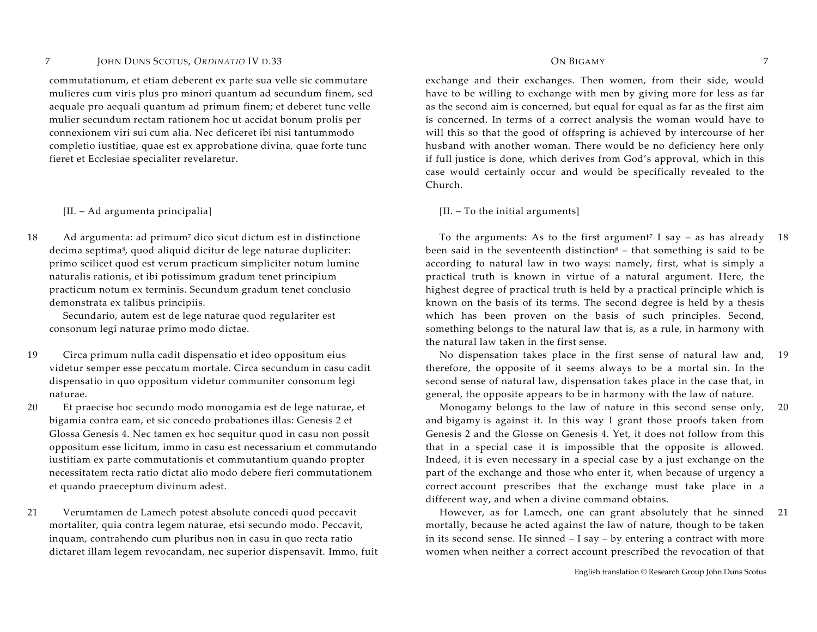commutationum, et etiam deberent ex parte sua velle sic commutare mulieres cum viris plus pro minori quantum ad secundum finem, sed aequale pro aequali quantum ad primum finem; et deberet tunc velle mulier secundum rectam rationem hoc ut accidat bonum prolis per connexionem viri sui cum alia. Nec deficeret ibi nisi tantummodo completio iustitiae, quae est ex approbatione divina, quae forte tunc fieret et Ecclesiae specialiter revelaretur.

### [II. – Ad argumenta principalia] [II. – To the initial arguments]

18 Ad argumenta: ad primum7 dico sicut dictum est in distinctione decima septima<sup>8</sup>, quod aliquid dicitur de lege naturae dupliciter: primo scilicet quod est verum practicum simpliciter notum lumine naturalis rationis, et ibi potissimum gradum tenet principium practicum notum ex terminis. Secundum gradum tenet conclusio demonstrata ex talibus principiis.

Secundario, autem est de lege naturae quod regulariter est consonum legi naturae primo modo dictae.

19 Circa primum nulla cadit dispensatio et ideo oppositum eius videtur semper esse peccatum mortale. Circa secundum in casu cadit dispensatio in quo oppositum videtur communiter consonum legi naturae.

20 Et praecise hoc secundo modo monogamia est de lege naturae, et bigamia contra eam, et sic concedo probationes illas: Genesis 2 et Glossa Genesis 4. Nec tamen ex hoc sequitur quod in casu non possit oppositum esse licitum, immo in casu est necessarium et commutando iustitiam ex parte commutationis et commutantium quando propter necessitatem recta ratio dictat alio modo debere fieri commutationem et quando praeceptum divinum adest.

21 Verumtamen de Lamech potest absolute concedi quod peccavit mortaliter, quia contra legem naturae, etsi secundo modo. Peccavit, inquam, contrahendo cum pluribus non in casu in quo recta ratio dictaret illam legem revocandam, nec superior dispensavit. Immo, fuit

## ON BIGAMY 7

exchange and their exchanges. Then women, from their side, would have to be willing to exchange with men by giving more for less as far as the second aim is concerned, but equal for equal as far as the first aim is concerned. In terms of a correct analysis the woman would have to will this so that the good of offspring is achieved by intercourse of her husband with another woman. There would be no deficiency here only if full justice is done, which derives from God's approval, which in this case would certainly occur and would be specifically revealed to the Church.

To the arguments: As to the first argument<sup>7</sup> I say  $-$  as has already been said in the seventeenth distinction $8$  – that something is said to be according to natural law in two ways: namely, first, what is simply a practical truth is known in virtue of a natural argument. Here, the highest degree of practical truth is held by a practical principle which is known on the basis of its terms. The second degree is held by a thesis which has been proven on the basis of such principles. Second, something belongs to the natural law that is, as a rule, in harmony with the natural law taken in the first sense. 18

 No dispensation takes place in the first sense of natural law and, therefore, the opposite of it seems always to be a mortal sin. In the second sense of natural law, dispensation takes place in the case that, in general, the opposite appears to be in harmony with the law of nature. 19

 Monogamy belongs to the law of nature in this second sense only, and bigamy is against it. In this way I grant those proofs taken from Genesis 2 and the Glosse on Genesis 4. Yet, it does not follow from this that in a special case it is impossible that the opposite is allowed. Indeed, it is even necessary in a special case by a just exchange on the part of the exchange and those who enter it, when because of urgency a correct account prescribes that the exchange must take place in a different way, and when a divine command obtains. 20

 However, as for Lamech, one can grant absolutely that he sinned mortally, because he acted against the law of nature, though to be taken in its second sense. He sinned – I say – by entering a contract with more women when neither a correct account prescribed the revocation of that 21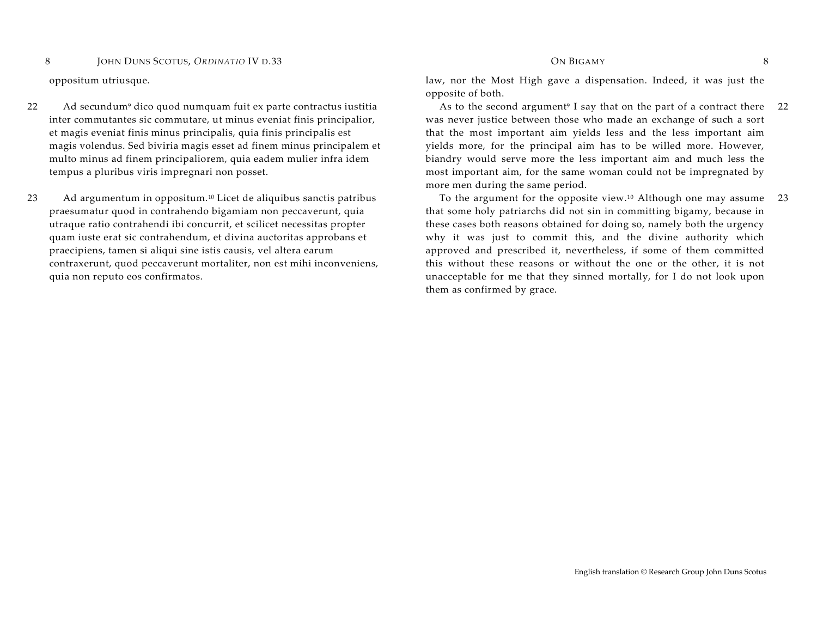- 22 Ad secundum9 dico quod numquam fuit ex parte contractus iustitia inter commutantes sic commutare, ut minus eveniat finis principalior, et magis eveniat finis minus principalis, quia finis principalis est magis volendus. Sed biviria magis esset ad finem minus principalem et multo minus ad finem principaliorem, quia eadem mulier infra idem tempus a pluribus viris impregnari non posset.
- 23 Ad argumentum in oppositum.10 Licet de aliquibus sanctis patribus praesumatur quod in contrahendo bigamiam non peccaverunt, quia utraque ratio contrahendi ibi concurrit, et scilicet necessitas propter quam iuste erat sic contrahendum, et divina auctoritas approbans et praecipiens, tamen si aliqui sine istis causis, vel altera earum contraxerunt, quod peccaverunt mortaliter, non est mihi inconveniens, quia non reputo eos confirmatos.

## $O$  IV D.33  $O$  ON BIGAMY  $8$

oppositum utriusque. law, nor the Most High gave a dispensation. Indeed, it was just the opposite of both.

> As to the second argument<sup>9</sup> I say that on the part of a contract there was never justice between those who made an exchange of such a sort that the most important aim yields less and the less important aim yields more, for the principal aim has to be willed more. However, biandry would serve more the less important aim and much less the most important aim, for the same woman could not be impregnated by more men during the same period. 22

> To the argument for the opposite view.10 Although one may assume that some holy patriarchs did not sin in committing bigamy, because in these cases both reasons obtained for doing so, namely both the urgency why it was just to commit this, and the divine authority which approved and prescribed it, nevertheless, if some of them committed this without these reasons or without the one or the other, it is not unacceptable for me that they sinned mortally, for I do not look upon them as confirmed by grace. 23